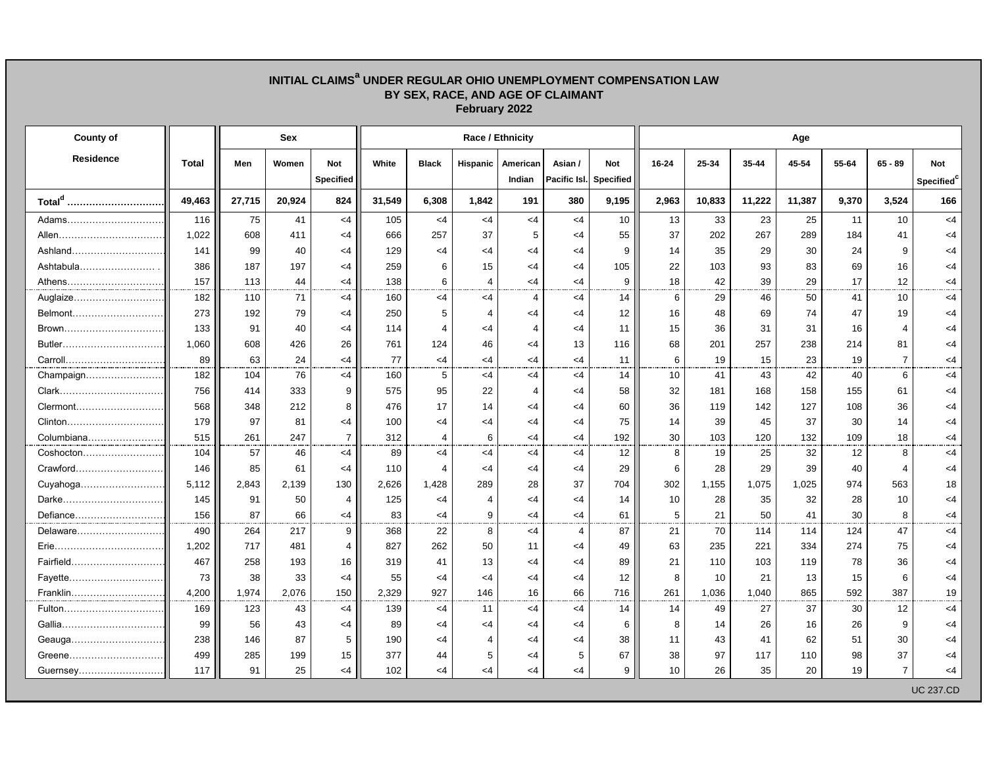## **BY SEX, RACE, AND AGE OF CLAIMANT February 2022 County of Sex Race / Ethnicity Age** Residence || Total || Men | Women | Not || White | Black | Hispanic | American | Asian / | Not || 16-24 | 25-34 | 35-44 | 45-54 | 55-64 | 65 - 89 | Not  $\textsf{Specificed} \left[\begin{array}{cccc} \textsf{I} & \textsf{I} & \textsf{I} & \textsf{I} & \textsf{I} \end{array} \right]$  and  $\textsf{Facific} \left[\textsf{Bacific} \right]$  and  $\textsf{Bbcific} \left[\begin{array}{cccc} \textsf{I} & \textsf{I} & \textsf{I} & \textsf{I} & \textsf{I} \end{array} \right]$ **Total<sup>d</sup> ………………………………….. 49,463 27,715 20,924 824 31,549 6,308 1,842 191 380 9,195 2,963 10,833 11,222 11,387 9,370 3,524 166** Adams………………………………………. 116 75 41 <4 105 <4 <4 <4 <4 10 13 33 23 25 11 10 <4 Allen………………………………………… 1,022 608 411 <4 666 257 37 5 <4 55 37 202 267 289 184 41 <4 Ashland…………………………………………… 141 99 40 <4 129 <4 <4 <4 <4 9 14 35 29 30 24 9 <4 Ashtabula…………………… . 386 187 197 <4 259 6 15 <4 <4 105 22 103 93 83 69 16 <4 Athens……………………………………………. 157 113 44 <4 138 6 4 <4 <4 9 18 42 39 29 17 12 <4 Auglaize……………………………………………… 182 110 71 <4 160 <4 <4 4 <4 14 6 29 46 50 41 10 <4 Belmont………………………………………. 273 192 79 <4 250 5 4 <4 <4 12 16 48 69 74 47 19 <4 Brown……………………………………………….. 133 91 40 <4 114 4 <4 4 <4 11 15 36 31 31 16 4 <4 Butler…………………………………. 1,060 608 426 26 761 124 46 <4 13 116 68 201 257 238 214 81 <4 Carroll…………………………………… 89 63 24 <4 77 <4 <4 <4 <4 11 6 19 15 23 19 7 <4 Champaign……………………………………….. 182 104 76 <4 160 5 <4 <4 <4 14 10 41 43 42 40 6 <4 Clark……………………………………………… 756 414 333 9 575 95 22 4 <4 58 32 181 168 158 155 61 <4 Clermont……………………………………. 568 348 212 8 476 17 14 <4 <4 60 36 119 142 127 108 36 <4 Clinton………………………………….. 179 97 81 <4 100 <4 <4 <4 <4 75 14 39 45 37 30 14 <4 Columbiana…………………………… 515 261 247 7 312 4 6 <4 <4 192 30 103 120 132 109 18 <4 Coshocton……………………………… 104 57 46 <4 89 <4 <4 <4 <4 12 8 19 25 32 12 8 <4 Crawford……………………………………….. 146 85 61 <4 110 4 <4 <4 <4 29 6 28 29 39 40 4 <4 Cuyahoga…………………………………….. 5,112 2,843 2,139 130 2,626 1,428 289 28 37 704 302 1,155 1,075 1,025 974 563 18 Darke……………………………………… 145 91 50 4 125 <4 4 <4 <4 14 10 28 35 32 28 10 <4 Defiance…………………………………. 156 87 66 <4 83 <4 9 <4 <4 61 5 21 50 41 30 8 <4 Delaware………………………………… 490 264 217 9 368 22 8 <4 4 87 21 70 114 114 124 47 <4 Erie…………………………………… 1,202 717 481 4 827 262 50 11 <4 49 63 235 221 334 274 75 <4 Fairfield……………………………… 467 258 193 16 319 41 13 <4 <4 89 21 110 103 119 78 36 <4 Fayette…………………………………. 73 38 33 <4 55 <4 <4 <4 <4 12 8 10 21 13 15 6 <4 Franklin…………………………………… 4,200 1,974 2,076 150 2,329 927 146 16 66 716 261 1,036 1,040 865 592 387 19 Fulton………………………………… 169 123 43 <4 139 <4 11 <4 <4 14 14 49 27 37 30 12 <4 Gallia………………………………….. 99 56 43 <4 89 <4 <4 <4 <4 6 8 14 26 16 26 9 <4 Geauga……………………………… 238 146 87 5 190 <4 4 <4 <4 38 11 43 41 62 51 30 <4 Greene……………………………….. 499 285 199 15 377 44 5 <4 5 67 38 97 117 110 98 37 <4 Guernsey………………………………. 117 91 25 <4 102 <4 <4 <4 <4 9 10 26 35 20 19 7 <4 UC 237.CD

**INITIAL CLAIMS<sup>a</sup> UNDER REGULAR OHIO UNEMPLOYMENT COMPENSATION LAW**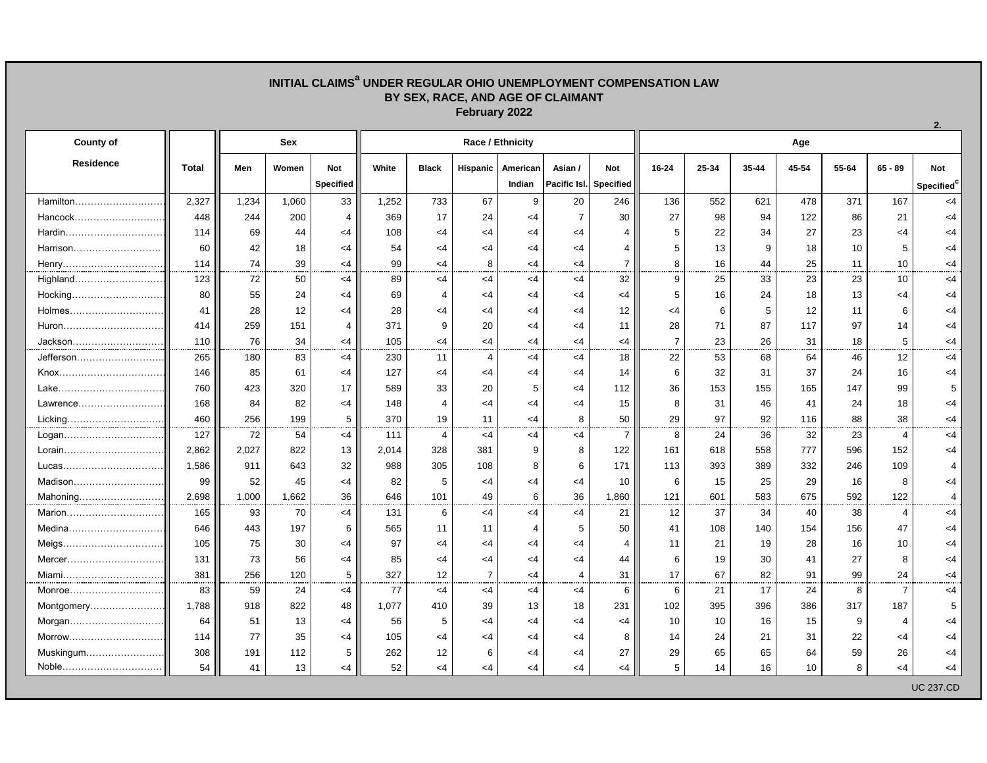## **INITIAL CLAIMS<sup>a</sup> UNDER REGULAR OHIO UNEMPLOYMENT COMPENSATION LAW BY SEX, RACE, AND AGE OF CLAIMANT February 2022**

| <b>County of</b> |              | <b>Sex</b> |       |                  | Race / Ethnicity |                |                |                         |                |                  |                | Age   |       |       |       |                |                        |  |  |
|------------------|--------------|------------|-------|------------------|------------------|----------------|----------------|-------------------------|----------------|------------------|----------------|-------|-------|-------|-------|----------------|------------------------|--|--|
| <b>Residence</b> | <b>Total</b> | Men        | Women | <b>Not</b>       | White            | <b>Black</b>   | Hispanic       | American                | Asian /        | <b>Not</b>       | $16 - 24$      | 25-34 | 35-44 | 45-54 | 55-64 | $65 - 89$      | Not                    |  |  |
|                  |              |            |       | <b>Specified</b> |                  |                |                | Indian                  | Pacific Isl.   | <b>Specified</b> |                |       |       |       |       |                | Specified <sup>c</sup> |  |  |
| Hamilton         | 2,327        | 1,234      | 1,060 | 33               | 1,252            | 733            | 67             | 9                       | 20             | 246              | 136            | 552   | 621   | 478   | 371   | 167            | <4                     |  |  |
| Hancock          | 448          | 244        | 200   | 4                | 369              | 17             | 24             | $<$ 4                   | $\overline{7}$ | 30               | 27             | 98    | 94    | 122   | 86    | 21             | $<$ 4                  |  |  |
|                  | 114          | 69         | 44    | $<$ 4            | 108              | <4             | <4             | $<$ 4                   | $<$ 4          | 4                | 5              | 22    | 34    | 27    | 23    | $<$ 4          | $<$ 4                  |  |  |
| Harrison         | 60           | 42         | 18    | $<$ 4            | 54               | $<$ 4          | $<$ 4          | $\leq 4$                | $<$ 4          | 4                | 5              | 13    | 9     | 18    | 10    | 5              | <4                     |  |  |
| Henry            | 114          | 74         | 39    | $<$ 4            | 99               | $<$ 4          | 8              | $<$ 4                   | <4             | $\overline{7}$   | 8              | 16    | 44    | 25    | 11    | 10             | $<$ 4                  |  |  |
| Highland         | 123          | 72         | 50    | $<$ 4            | 89               | <4             | $<$ 4          | $<$ 4                   | $<$ 4          | 32               | 9              | 25    | 33    | 23    | 23    | 10             | $<$ 4                  |  |  |
|                  | 80           | 55         | 24    | $<$ 4            | 69               | $\overline{4}$ | $<$ 4          | $<$ 4                   | $<$ 4          | <4               | 5              | 16    | 24    | 18    | 13    | $<$ 4          | <4                     |  |  |
|                  | 41           | 28         | 12    | $<$ 4            | 28               | $<$ 4          | $<$ 4          | $<$ 4                   | $<$ 4          | 12               | $<$ 4          | 6     | 5     | 12    | 11    | 6              | <4                     |  |  |
| Huron            | 414          | 259        | 151   | 4                | 371              | 9              | 20             | $\leq 4$                | $\leq$ 4       | 11               | 28             | 71    | 87    | 117   | 97    | 14             | <4                     |  |  |
| Jackson          | 110          | 76         | 34    | $<$ 4            | 105              | $\leq 4$       | $<$ 4          | $\leq 4$                | $<$ 4          | <4               | $\overline{7}$ | 23    | 26    | 31    | 18    | 5              | <4                     |  |  |
| Jefferson        | 265          | 180        | 83    | $<$ 4            | 230              | 11             | 4              | $<$ 4                   | $<$ 4          | 18               | 22             | 53    | 68    | 64    | 46    | 12             | $<$ 4                  |  |  |
|                  | 146          | 85         | 61    | $<$ 4            | 127              | <4             | $<$ 4          | $<$ 4                   | $<$ 4          | 14               | 6              | 32    | 31    | 37    | 24    | 16             | <4                     |  |  |
|                  | 760          | 423        | 320   | 17               | 589              | 33             | 20             | 5                       | $<$ 4          | 112              | 36             | 153   | 155   | 165   | 147   | 99             | 5                      |  |  |
|                  | 168          | 84         | 82    | <4               | 148              | $\overline{4}$ | $<$ 4          | $\leq 4$                | <4             | 15               | 8              | 31    | 46    | 41    | 24    | 18             | <4                     |  |  |
| Licking          | 460          | 256        | 199   | 5                | 370              | 19             | 11             | $\leq 4$                | 8              | 50               | 29             | 97    | 92    | 116   | 88    | 38             | <4                     |  |  |
| Logan            | 127          | 72         | 54    | $<$ 4            | 111              | $\overline{4}$ | $<$ 4          | $<$ 4                   | $<$ 4          | $\overline{7}$   | 8              | 24    | 36    | 32    | 23    | 4              | $<$ 4                  |  |  |
|                  | 2.862        | 2,027      | 822   | 13               | 2.014            | 328            | 381            | 9                       | 8              | 122              | 161            | 618   | 558   | 777   | 596   | 152            | $<$ 4                  |  |  |
|                  | 1,586        | 911        | 643   | 32               | 988              | 305            | 108            | 8                       | 6              | 171              | 113            | 393   | 389   | 332   | 246   | 109            | 4                      |  |  |
|                  | 99           | 52         | 45    | $<$ 4            | 82               | 5              | $<$ 4          | $<$ 4                   | <4             | 10               | 6              | 15    | 25    | 29    | 16    | 8              | $<$ 4                  |  |  |
| Mahoning         | 2,698        | 1,000      | 1,662 | 36               | 646              | 101            | 49             | 6                       | 36             | 1,860            | 121            | 601   | 583   | 675   | 592   | 122            | 4                      |  |  |
| Marion           | 165          | 93         | 70    | $<$ 4            | 131              | 6              | $<$ 4          | $<$ 4                   | $<$ 4          | 21               | 12             | 37    | 34    | 40    | 38    | 4              | <4                     |  |  |
| Medina           | 646          | 443        | 197   | 6                | 565              | 11             | 11             | $\overline{\mathbf{4}}$ | 5              | 50               | 41             | 108   | 140   | 154   | 156   | 47             | $<$ 4                  |  |  |
| Meigs            | 105          | 75         | 30    | <4               | 97               | $<$ 4          | $<$ 4          | $<$ 4                   | $<$ 4          | 4                | 11             | 21    | 19    | 28    | 16    | 10             | <4                     |  |  |
|                  | 131          | 73         | 56    | $<$ 4            | 85               | $<$ 4          | $<$ 4          | $\leq 4$                | $<$ 4          | 44               | 6              | 19    | 30    | 41    | 27    | 8              | $<$ 4                  |  |  |
| Miami            | 381          | 256        | 120   | 5                | 327              | 12             | $\overline{7}$ | $<$ 4                   | $\overline{4}$ | 31               | 17             | 67    | 82    | 91    | 99    | 24             | <4                     |  |  |
| Monroe           | 83           | 59         | 24    | $<$ 4            | 77               | <4             | $<$ 4          | $<$ 4                   | <4             | 6                | 6              | 21    | 17    | 24    | 8     | $\overline{7}$ | $<$ 4                  |  |  |
| Montgomery       | 1,788        | 918        | 822   | 48               | 1,077            | 410            | 39             | 13                      | 18             | 231              | 102            | 395   | 396   | 386   | 317   | 187            | 5                      |  |  |
| Morgan           | 64           | 51         | 13    | <4               | 56               | 5              | $<$ 4          | $\leq 4$                | $<$ 4          | <4               | 10             | 10    | 16    | 15    | 9     | 4              | <4                     |  |  |
| Morrow           | 114          | 77         | 35    | $<$ 4            | 105              | $<$ 4          | $<$ 4          | $<$ 4                   | $<$ 4          | 8                | 14             | 24    | 21    | 31    | 22    | $<$ 4          | $<$ 4                  |  |  |
| Muskingum        | 308          | 191        | 112   | 5                | 262              | 12             | 6              | $<$ 4                   | $<$ 4          | 27               | 29             | 65    | 65    | 64    | 59    | 26             | <4                     |  |  |
| Noble            | 54           | 41         | 13    | $<$ 4            | 52               | <4             | $<$ 4          | $<$ 4                   | $\leq 4$       | $<$ 4            | 5              | 14    | 16    | 10    | 8     | $<$ 4          | <4                     |  |  |
|                  |              |            |       |                  |                  |                |                |                         |                |                  |                |       |       |       |       |                | <b>UC 237.CD</b>       |  |  |

**2.**